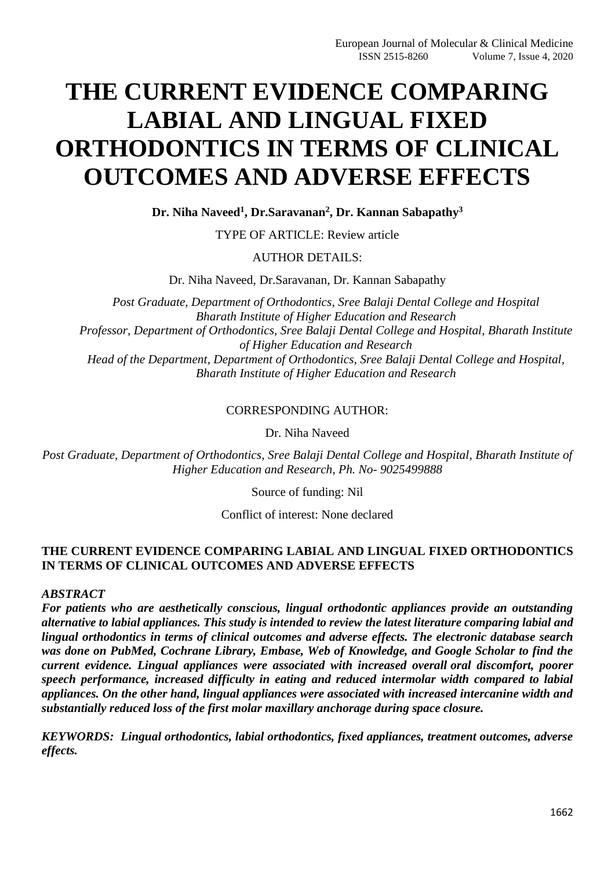# **THE CURRENT EVIDENCE COMPARING LABIAL AND LINGUAL FIXED ORTHODONTICS IN TERMS OF CLINICAL OUTCOMES AND ADVERSE EFFECTS**

**Dr. Niha Naveed<sup>1</sup> , Dr.Saravanan<sup>2</sup> , Dr. Kannan Sabapathy<sup>3</sup>**

TYPE OF ARTICLE: Review article

#### AUTHOR DETAILS:

Dr. Niha Naveed, Dr.Saravanan, Dr. Kannan Sabapathy

*Post Graduate, Department of Orthodontics, Sree Balaji Dental College and Hospital Bharath Institute of Higher Education and Research Professor, Department of Orthodontics, Sree Balaji Dental College and Hospital, Bharath Institute of Higher Education and Research Head of the Department, Department of Orthodontics, Sree Balaji Dental College and Hospital, Bharath Institute of Higher Education and Research*

#### CORRESPONDING AUTHOR:

Dr. Niha Naveed

*Post Graduate, Department of Orthodontics, Sree Balaji Dental College and Hospital, Bharath Institute of Higher Education and Research, Ph. No- 9025499888*

Source of funding: Nil

Conflict of interest: None declared

#### **THE CURRENT EVIDENCE COMPARING LABIAL AND LINGUAL FIXED ORTHODONTICS IN TERMS OF CLINICAL OUTCOMES AND ADVERSE EFFECTS**

*ABSTRACT*

*For patients who are aesthetically conscious, lingual orthodontic appliances provide an outstanding alternative to labial appliances. This study is intended to review the latest literature comparing labial and lingual orthodontics in terms of clinical outcomes and adverse effects. The electronic database search was done on PubMed, Cochrane Library, Embase, Web of Knowledge, and Google Scholar to find the current evidence. Lingual appliances were associated with increased overall oral discomfort, poorer speech performance, increased difficulty in eating and reduced intermolar width compared to labial appliances. On the other hand, lingual appliances were associated with increased intercanine width and substantially reduced loss of the first molar maxillary anchorage during space closure.*

*KEYWORDS: Lingual orthodontics, labial orthodontics, fixed appliances, treatment outcomes, adverse effects.*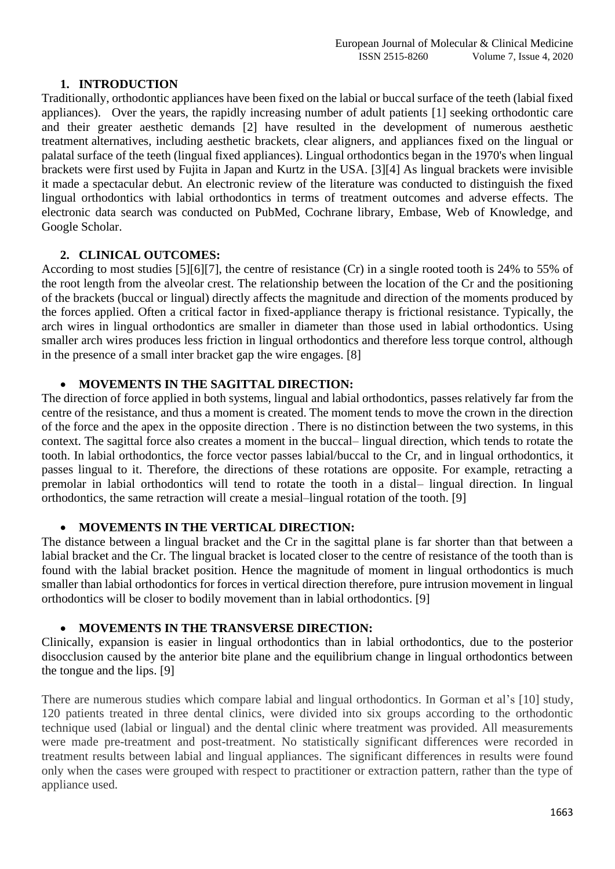#### **1. INTRODUCTION**

Traditionally, orthodontic appliances have been fixed on the labial or buccal surface of the teeth (labial fixed appliances). Over the years, the rapidly increasing number of adult patients [1] seeking orthodontic care and their greater aesthetic demands [2] have resulted in the development of numerous aesthetic treatment alternatives, including aesthetic brackets, clear aligners, and appliances fixed on the lingual or palatal surface of the teeth (lingual fixed appliances). Lingual orthodontics began in the 1970's when lingual brackets were first used by Fujita in Japan and Kurtz in the USA. [3][4] As lingual brackets were invisible it made a spectacular debut. An electronic review of the literature was conducted to distinguish the fixed lingual orthodontics with labial orthodontics in terms of treatment outcomes and adverse effects. The electronic data search was conducted on PubMed, Cochrane library, Embase, Web of Knowledge, and Google Scholar.

#### **2. CLINICAL OUTCOMES:**

According to most studies [5][6][7], the centre of resistance (Cr) in a single rooted tooth is 24% to 55% of the root length from the alveolar crest. The relationship between the location of the Cr and the positioning of the brackets (buccal or lingual) directly affects the magnitude and direction of the moments produced by the forces applied. Often a critical factor in fixed-appliance therapy is frictional resistance. Typically, the arch wires in lingual orthodontics are smaller in diameter than those used in labial orthodontics. Using smaller arch wires produces less friction in lingual orthodontics and therefore less torque control, although in the presence of a small inter bracket gap the wire engages. [8]

#### • **MOVEMENTS IN THE SAGITTAL DIRECTION:**

The direction of force applied in both systems, lingual and labial orthodontics, passes relatively far from the centre of the resistance, and thus a moment is created. The moment tends to move the crown in the direction of the force and the apex in the opposite direction . There is no distinction between the two systems, in this context. The sagittal force also creates a moment in the buccal– lingual direction, which tends to rotate the tooth. In labial orthodontics, the force vector passes labial/buccal to the Cr, and in lingual orthodontics, it passes lingual to it. Therefore, the directions of these rotations are opposite. For example, retracting a premolar in labial orthodontics will tend to rotate the tooth in a distal– lingual direction. In lingual orthodontics, the same retraction will create a mesial–lingual rotation of the tooth. [9]

# • **MOVEMENTS IN THE VERTICAL DIRECTION:**

The distance between a lingual bracket and the Cr in the sagittal plane is far shorter than that between a labial bracket and the Cr. The lingual bracket is located closer to the centre of resistance of the tooth than is found with the labial bracket position. Hence the magnitude of moment in lingual orthodontics is much smaller than labial orthodontics for forces in vertical direction therefore, pure intrusion movement in lingual orthodontics will be closer to bodily movement than in labial orthodontics. [9]

# • **MOVEMENTS IN THE TRANSVERSE DIRECTION:**

Clinically, expansion is easier in lingual orthodontics than in labial orthodontics, due to the posterior disocclusion caused by the anterior bite plane and the equilibrium change in lingual orthodontics between the tongue and the lips. [9]

There are numerous studies which compare labial and lingual orthodontics. In Gorman et al's [10] study, 120 patients treated in three dental clinics, were divided into six groups according to the orthodontic technique used (labial or lingual) and the dental clinic where treatment was provided. All measurements were made pre-treatment and post-treatment. No statistically significant differences were recorded in treatment results between labial and lingual appliances. The significant differences in results were found only when the cases were grouped with respect to practitioner or extraction pattern, rather than the type of appliance used.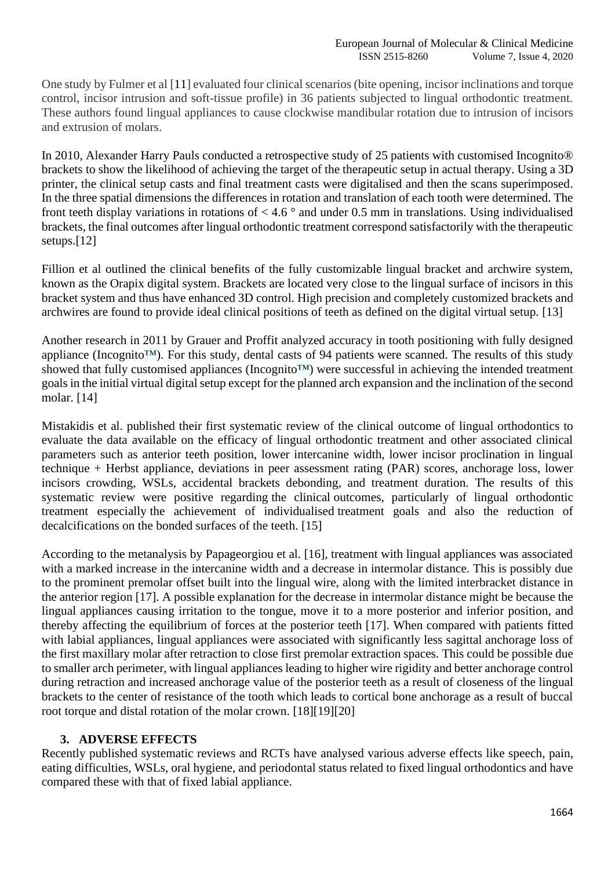One study by Fulmer et al [11] evaluated four clinical scenarios (bite opening, incisor inclinations and torque control, incisor intrusion and soft-tissue profile) in 36 patients subjected to lingual orthodontic treatment. These authors found lingual appliances to cause clockwise mandibular rotation due to intrusion of incisors and extrusion of molars.

In 2010, Alexander Harry Pauls conducted a retrospective study of 25 patients with customised Incognito® brackets to show the likelihood of achieving the target of the therapeutic setup in actual therapy. Using a 3D printer, the clinical setup casts and final treatment casts were digitalised and then the scans superimposed. In the three spatial dimensions the differences in rotation and translation of each tooth were determined. The front teeth display variations in rotations of  $< 4.6$  ° and under 0.5 mm in translations. Using individualised brackets, the final outcomes after lingual orthodontic treatment correspond satisfactorily with the therapeutic setups.[12]

Fillion et al outlined the clinical benefits of the fully customizable lingual bracket and archwire system, known as the Orapix digital system. Brackets are located very close to the lingual surface of incisors in this bracket system and thus have enhanced 3D control. High precision and completely customized brackets and archwires are found to provide ideal clinical positions of teeth as defined on the digital virtual setup. [13]

Another research in 2011 by Grauer and Proffit analyzed accuracy in tooth positioning with fully designed appliance (Incognito<sup>™)</sup>. For this study, dental casts of 94 patients were scanned. The results of this study showed that fully customised appliances (Incognito<sup>™</sup>) were successful in achieving the intended treatment goals in the initial virtual digital setup except for the planned arch expansion and the inclination of the second molar. [14]

Mistakidis et al. published their first systematic review of the clinical outcome of lingual orthodontics to evaluate the data available on the efficacy of lingual orthodontic treatment and other associated clinical parameters such as anterior teeth position, lower intercanine width, lower incisor proclination in lingual technique + Herbst appliance, deviations in peer assessment rating (PAR) scores, anchorage loss, lower incisors crowding, WSLs, accidental brackets debonding, and treatment duration. The results of this systematic review were positive regarding the clinical outcomes, particularly of lingual orthodontic treatment especially the achievement of individualised treatment goals and also the reduction of decalcifications on the bonded surfaces of the teeth. [15]

According to the metanalysis by Papageorgiou et al. [16], treatment with lingual appliances was associated with a marked increase in the intercanine width and a decrease in intermolar distance. This is possibly due to the prominent premolar offset built into the lingual wire, along with the limited interbracket distance in the anterior region [17]. A possible explanation for the decrease in intermolar distance might be because the lingual appliances causing irritation to the tongue, move it to a more posterior and inferior position, and thereby affecting the equilibrium of forces at the posterior teeth [17]. When compared with patients fitted with labial appliances, lingual appliances were associated with significantly less sagittal anchorage loss of the first maxillary molar after retraction to close first premolar extraction spaces. This could be possible due to smaller arch perimeter, with lingual appliances leading to higher wire rigidity and better anchorage control during retraction and increased anchorage value of the posterior teeth as a result of closeness of the lingual brackets to the center of resistance of the tooth which leads to cortical bone anchorage as a result of buccal root torque and distal rotation of the molar crown. [18][19][20]

# **3. ADVERSE EFFECTS**

Recently published systematic reviews and RCTs have analysed various adverse effects like speech, pain, eating difficulties, WSLs, oral hygiene, and periodontal status related to fixed lingual orthodontics and have compared these with that of fixed labial appliance.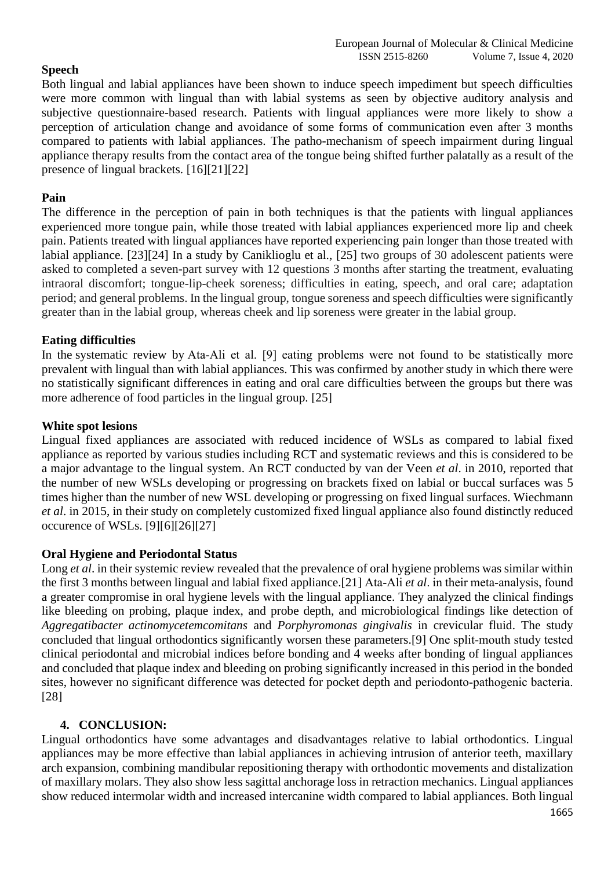# **Speech**

Both lingual and labial appliances have been shown to induce speech impediment but speech difficulties were more common with lingual than with labial systems as seen by objective auditory analysis and subjective questionnaire-based research. Patients with lingual appliances were more likely to show a perception of articulation change and avoidance of some forms of communication even after 3 months compared to patients with labial appliances. The patho-mechanism of speech impairment during lingual appliance therapy results from the contact area of the tongue being shifted further palatally as a result of the presence of lingual brackets. [16][21][22]

# **Pain**

The difference in the perception of pain in both techniques is that the patients with lingual appliances experienced more tongue pain, while those treated with labial appliances experienced more lip and cheek pain. Patients treated with lingual appliances have reported experiencing pain longer than those treated with labial appliance. [23][24] In a study by Caniklioglu et al., [25] two groups of 30 adolescent patients were asked to completed a seven-part survey with 12 questions 3 months after starting the treatment, evaluating intraoral discomfort; tongue-lip-cheek soreness; difficulties in eating, speech, and oral care; adaptation period; and general problems. In the lingual group, tongue soreness and speech difficulties were significantly greater than in the labial group, whereas cheek and lip soreness were greater in the labial group.

# **Eating difficulties**

In the systematic review by Ata-Ali et al. [9] eating problems were not found to be statistically more prevalent with lingual than with labial appliances. This was confirmed by another study in which there were no statistically significant differences in eating and oral care difficulties between the groups but there was more adherence of food particles in the lingual group. [25]

#### **White spot lesions**

Lingual fixed appliances are associated with reduced incidence of WSLs as compared to labial fixed appliance as reported by various studies including RCT and systematic reviews and this is considered to be a major advantage to the lingual system. An RCT conducted by van der Veen *et al*. in 2010, reported that the number of new WSLs developing or progressing on brackets fixed on labial or buccal surfaces was 5 times higher than the number of new WSL developing or progressing on fixed lingual surfaces. Wiechmann *et al*. in 2015, in their study on completely customized fixed lingual appliance also found distinctly reduced occurence of WSLs. [9][6][26][27]

# **Oral Hygiene and Periodontal Status**

Long *et al*. in their systemic review revealed that the prevalence of oral hygiene problems was similar within the first 3 months between lingual and labial fixed appliance.[21] Ata-Ali *et al.* in their meta-analysis, found a greater compromise in oral hygiene levels with the lingual appliance. They analyzed the clinical findings like bleeding on probing, plaque index, and probe depth, and microbiological findings like detection of *Aggregatibacter actinomycetemcomitans* and *Porphyromonas gingivalis* in crevicular fluid. The study concluded that lingual orthodontics significantly worsen these parameters.[9] One split-mouth study tested clinical periodontal and microbial indices before bonding and 4 weeks after bonding of lingual appliances and concluded that plaque index and bleeding on probing significantly increased in this period in the bonded sites, however no significant difference was detected for pocket depth and periodonto-pathogenic bacteria. [28]

# **4. CONCLUSION:**

Lingual orthodontics have some advantages and disadvantages relative to labial orthodontics. Lingual appliances may be more effective than labial appliances in achieving intrusion of anterior teeth, maxillary arch expansion, combining mandibular repositioning therapy with orthodontic movements and distalization of maxillary molars. They also show less sagittal anchorage loss in retraction mechanics. Lingual appliances show reduced intermolar width and increased intercanine width compared to labial appliances. Both lingual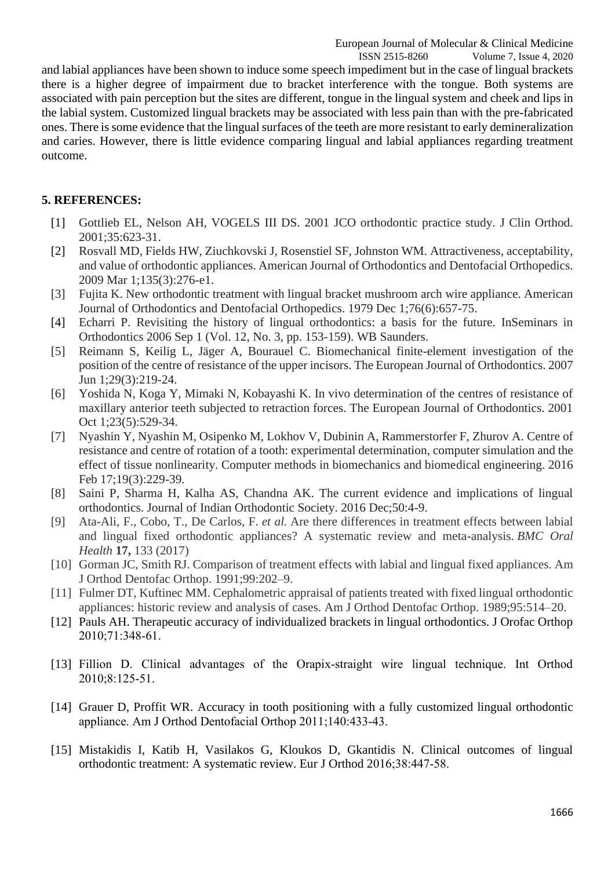ISSN 2515-8260 Volume 7, Issue 4, 2020 and labial appliances have been shown to induce some speech impediment but in the case of lingual brackets there is a higher degree of impairment due to bracket interference with the tongue. Both systems are associated with pain perception but the sites are different, tongue in the lingual system and cheek and lips in the labial system. Customized lingual brackets may be associated with less pain than with the pre-fabricated ones. There is some evidence that the lingual surfaces of the teeth are more resistant to early demineralization and caries. However, there is little evidence comparing lingual and labial appliances regarding treatment outcome.

# **5. REFERENCES:**

- [1] Gottlieb EL, Nelson AH, VOGELS III DS. 2001 JCO orthodontic practice study. J Clin Orthod. 2001;35:623-31.
- [2] Rosvall MD, Fields HW, Ziuchkovski J, Rosenstiel SF, Johnston WM. Attractiveness, acceptability, and value of orthodontic appliances. American Journal of Orthodontics and Dentofacial Orthopedics. 2009 Mar 1;135(3):276-e1.
- [3] Fujita K. New orthodontic treatment with lingual bracket mushroom arch wire appliance. American Journal of Orthodontics and Dentofacial Orthopedics. 1979 Dec 1;76(6):657-75.
- [4] Echarri P. Revisiting the history of lingual orthodontics: a basis for the future. InSeminars in Orthodontics 2006 Sep 1 (Vol. 12, No. 3, pp. 153-159). WB Saunders.
- [5] Reimann S, Keilig L, Jäger A, Bourauel C. Biomechanical finite-element investigation of the position of the centre of resistance of the upper incisors. The European Journal of Orthodontics. 2007 Jun 1;29(3):219-24.
- [6] Yoshida N, Koga Y, Mimaki N, Kobayashi K. In vivo determination of the centres of resistance of maxillary anterior teeth subjected to retraction forces. The European Journal of Orthodontics. 2001 Oct 1;23(5):529-34.
- [7] Nyashin Y, Nyashin M, Osipenko M, Lokhov V, Dubinin A, Rammerstorfer F, Zhurov A. Centre of resistance and centre of rotation of a tooth: experimental determination, computer simulation and the effect of tissue nonlinearity. Computer methods in biomechanics and biomedical engineering. 2016 Feb 17;19(3):229-39.
- [8] Saini P, Sharma H, Kalha AS, Chandna AK. The current evidence and implications of lingual orthodontics. Journal of Indian Orthodontic Society. 2016 Dec;50:4-9.
- [9] Ata-Ali, F., Cobo, T., De Carlos, F. *et al.* Are there differences in treatment effects between labial and lingual fixed orthodontic appliances? A systematic review and meta-analysis. *BMC Oral Health* **17,** 133 (2017)
- [10] Gorman JC, Smith RJ. Comparison of treatment effects with labial and lingual fixed appliances. Am J Orthod Dentofac Orthop. 1991;99:202–9.
- [11] Fulmer DT, Kuftinec MM. Cephalometric appraisal of patients treated with fixed lingual orthodontic appliances: historic review and analysis of cases. Am J Orthod Dentofac Orthop. 1989;95:514–20.
- [12] Pauls AH. Therapeutic accuracy of individualized brackets in lingual orthodontics. J Orofac Orthop 2010;71:348‑61.
- [13] Fillion D. Clinical advantages of the Orapix-straight wire lingual technique. Int Orthod 2010;8:125‑51.
- [14] Grauer D, Proffit WR. Accuracy in tooth positioning with a fully customized lingual orthodontic appliance. Am J Orthod Dentofacial Orthop 2011;140:433‑43.
- [15] Mistakidis I, Katib H, Vasilakos G, Kloukos D, Gkantidis N. Clinical outcomes of lingual orthodontic treatment: A systematic review. Eur J Orthod 2016;38:447‑58.